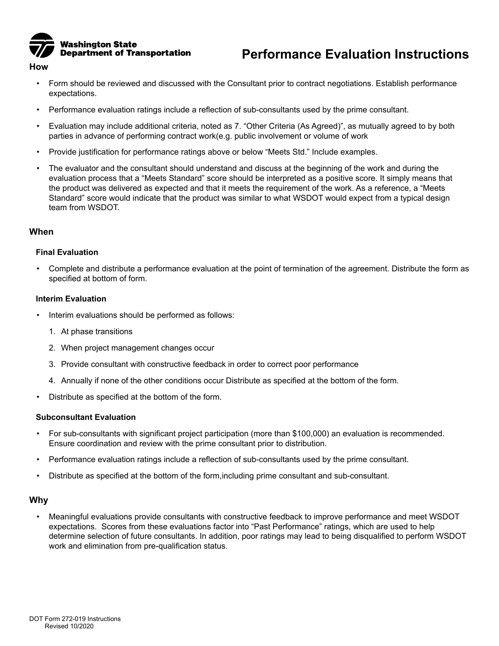

#### **How**

- Form should be reviewed and discussed with the Consultant prior to contract negotiations. Establish performance expectations.
- Performance evaluation ratings include a reflection of sub-consultants used by the prime consultant.
- Evaluation may include additional criteria, noted as 7. "Other Criteria (As Agreed)", as mutually agreed to by both parties in advance of performing contract work(e.g. public involvement or volume of work
- Provide justification for performance ratings above or below "Meets Std." Include examples.
- The evaluator and the consultant should understand and discuss at the beginning of the work and during the evaluation process that a "Meets Standard" score should be interpreted as a positive score. It simply means that the product was delivered as expected and that it meets the requirement of the work. As a reference, a "Meets Standard" score would indicate that the product was similar to what WSDOT would expect from a typical design team from WSDOT.

### **When**

#### **Final Evaluation**

• Complete and distribute a performance evaluation at the point of termination of the agreement. Distribute the form as specified at bottom of form.

#### **Interim Evaluation**

- Interim evaluations should be performed as follows:
	- 1. At phase transitions
	- 2. When project management changes occur
	- 3. Provide consultant with constructive feedback in order to correct poor performance
	- 4. Annually if none of the other conditions occur Distribute as specified at the bottom of the form.
- Distribute as specified at the bottom of the form.

#### **Subconsultant Evaluation**

- For sub-consultants with significant project participation (more than \$100,000) an evaluation is recommended. Ensure coordination and review with the prime consultant prior to distribution.
- Performance evaluation ratings include a reflection of sub-consultants used by the prime consultant.
- Distribute as specified at the bottom of the form,including prime consultant and sub-consultant.

## **Why**

• Meaningful evaluations provide consultants with constructive feedback to improve performance and meet WSDOT expectations. Scores from these evaluations factor into "Past Performance" ratings, which are used to help determine selection of future consultants. In addition, poor ratings may lead to being disqualified to perform WSDOT work and elimination from pre-qualification status.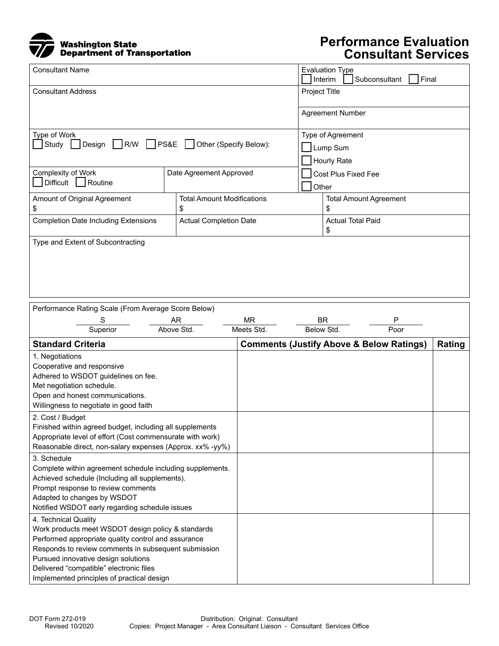

# **Performance Evaluation Consultant Services**

| <b>Consultant Name</b>                                          |                                   |                          | <b>Evaluation Type</b><br>Interim<br>Subconsultant<br>Final |  |  |
|-----------------------------------------------------------------|-----------------------------------|--------------------------|-------------------------------------------------------------|--|--|
| <b>Consultant Address</b>                                       |                                   |                          | Project Title                                               |  |  |
|                                                                 |                                   |                          | <b>Agreement Number</b>                                     |  |  |
| Type of Work<br>Design R/W PS&E Other (Specify Below):<br>Study |                                   |                          | Type of Agreement                                           |  |  |
|                                                                 |                                   |                          | Lump Sum                                                    |  |  |
|                                                                 |                                   |                          | <b>Hourly Rate</b>                                          |  |  |
| <b>Complexity of Work</b>                                       | Date Agreement Approved           | Cost Plus Fixed Fee      |                                                             |  |  |
| Difficult<br>Routine                                            |                                   | Other                    |                                                             |  |  |
| Amount of Original Agreement                                    | <b>Total Amount Modifications</b> |                          | <b>Total Amount Agreement</b>                               |  |  |
| \$                                                              | \$                                |                          | \$                                                          |  |  |
| <b>Completion Date Including Extensions</b>                     | <b>Actual Completion Date</b>     | <b>Actual Total Paid</b> |                                                             |  |  |
|                                                                 |                                   |                          | \$                                                          |  |  |
| Type and Extent of Subcontracting                               |                                   |                          |                                                             |  |  |
|                                                                 |                                   |                          |                                                             |  |  |
|                                                                 |                                   |                          |                                                             |  |  |
|                                                                 |                                   |                          |                                                             |  |  |
|                                                                 |                                   |                          |                                                             |  |  |

| Performance Rating Scale (From Average Score Below)       |                                                |            |                                                     |            |        |  |
|-----------------------------------------------------------|------------------------------------------------|------------|-----------------------------------------------------|------------|--------|--|
|                                                           | S                                              | AR         | <b>MR</b>                                           | <b>BR</b>  | P      |  |
|                                                           | Superior                                       | Above Std. | Meets Std.                                          | Below Std. | Poor   |  |
| <b>Standard Criteria</b>                                  |                                                |            | <b>Comments (Justify Above &amp; Below Ratings)</b> |            | Rating |  |
| 1. Negotiations                                           |                                                |            |                                                     |            |        |  |
| Cooperative and responsive                                |                                                |            |                                                     |            |        |  |
| Adhered to WSDOT guidelines on fee.                       |                                                |            |                                                     |            |        |  |
| Met negotiation schedule.                                 |                                                |            |                                                     |            |        |  |
| Open and honest communications.                           |                                                |            |                                                     |            |        |  |
| Willingness to negotiate in good faith                    |                                                |            |                                                     |            |        |  |
| 2. Cost / Budget                                          |                                                |            |                                                     |            |        |  |
| Finished within agreed budget, including all supplements  |                                                |            |                                                     |            |        |  |
| Appropriate level of effort (Cost commensurate with work) |                                                |            |                                                     |            |        |  |
| Reasonable direct, non-salary expenses (Approx. xx% -yy%) |                                                |            |                                                     |            |        |  |
| 3. Schedule                                               |                                                |            |                                                     |            |        |  |
| Complete within agreement schedule including supplements. |                                                |            |                                                     |            |        |  |
| Achieved schedule (Including all supplements).            |                                                |            |                                                     |            |        |  |
| Prompt response to review comments                        |                                                |            |                                                     |            |        |  |
| Adapted to changes by WSDOT                               |                                                |            |                                                     |            |        |  |
|                                                           | Notified WSDOT early regarding schedule issues |            |                                                     |            |        |  |
| 4. Technical Quality                                      |                                                |            |                                                     |            |        |  |
| Work products meet WSDOT design policy & standards        |                                                |            |                                                     |            |        |  |
| Performed appropriate quality control and assurance       |                                                |            |                                                     |            |        |  |
| Responds to review comments in subsequent submission      |                                                |            |                                                     |            |        |  |
| Pursued innovative design solutions                       |                                                |            |                                                     |            |        |  |
| Delivered "compatible" electronic files                   |                                                |            |                                                     |            |        |  |
|                                                           | Implemented principles of practical design     |            |                                                     |            |        |  |